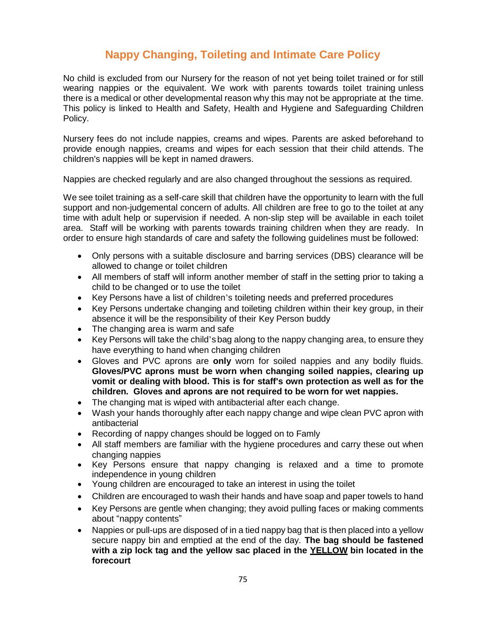## **Nappy Changing, Toileting and Intimate Care Policy**

No child is excluded from our Nursery for the reason of not yet being toilet trained or for still wearing nappies or the equivalent. We work with parents towards toilet training unless there is a medical or other developmental reason why this may not be appropriate at the time. This policy is linked to Health and Safety, Health and Hygiene and Safeguarding Children Policy.

Nursery fees do not include nappies, creams and wipes. Parents are asked beforehand to provide enough nappies, creams and wipes for each session that their child attends. The children's nappies will be kept in named drawers.

Nappies are checked regularly and are also changed throughout the sessions as required.

We see toilet training as a self-care skill that children have the opportunity to learn with the full support and non-judgemental concern of adults. All children are free to go to the toilet at any time with adult help or supervision if needed. A non-slip step will be available in each toilet area. Staff will be working with parents towards training children when they are ready. In order to ensure high standards of care and safety the following guidelines must be followed:

- Only persons with a suitable disclosure and barring services (DBS) clearance will be allowed to change or toilet children
- All members of staff will inform another member of staff in the setting prior to taking a child to be changed or to use the toilet
- Key Persons have a list of children's toileting needs and preferred procedures
- Key Persons undertake changing and toileting children within their key group, in their absence it will be the responsibility of their Key Person buddy
- The changing area is warm and safe
- Key Persons will take the child's bag along to the nappy changing area, to ensure they have everything to hand when changing children
- Gloves and PVC aprons are **only** worn for soiled nappies and any bodily fluids. **Gloves/PVC aprons must be worn when changing soiled nappies, clearing up vomit or dealing with blood. This is for staff's own protection as well as for the children. Gloves and aprons are not required to be worn for wet nappies.**
- The changing mat is wiped with antibacterial after each change.
- Wash your hands thoroughly after each nappy change and wipe clean PVC apron with antibacterial
- Recording of nappy changes should be logged on to Famly
- All staff members are familiar with the hygiene procedures and carry these out when changing nappies
- Key Persons ensure that nappy changing is relaxed and a time to promote independence in young children
- Young children are encouraged to take an interest in using the toilet
- Children are encouraged to wash their hands and have soap and paper towels to hand
- Key Persons are gentle when changing; they avoid pulling faces or making comments about "nappy contents"
- Nappies or pull-ups are disposed of in a tied nappy bag that is then placed into a yellow secure nappy bin and emptied at the end of the day. **The bag should be fastened with a zip lock tag and the yellow sac placed in the YELLOW bin located in the forecourt**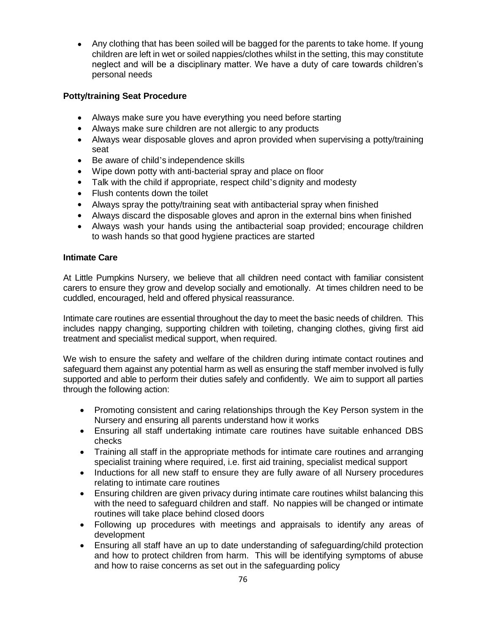Any clothing that has been soiled will be bagged for the parents to take home. If young children are left in wet or soiled nappies/clothes whilst in the setting, this may constitute neglect and will be a disciplinary matter. We have a duty of care towards children's personal needs

## **Potty/training Seat Procedure**

- Always make sure you have everything you need before starting
- Always make sure children are not allergic to any products
- Always wear disposable gloves and apron provided when supervising a potty/training seat
- Be aware of child's independence skills
- Wipe down potty with anti-bacterial spray and place on floor
- Talk with the child if appropriate, respect child's dignity and modesty
- Flush contents down the toilet
- Always spray the potty/training seat with antibacterial spray when finished
- Always discard the disposable gloves and apron in the external bins when finished
- Always wash your hands using the antibacterial soap provided; encourage children to wash hands so that good hygiene practices are started

## **Intimate Care**

At Little Pumpkins Nursery, we believe that all children need contact with familiar consistent carers to ensure they grow and develop socially and emotionally. At times children need to be cuddled, encouraged, held and offered physical reassurance.

Intimate care routines are essential throughout the day to meet the basic needs of children. This includes nappy changing, supporting children with toileting, changing clothes, giving first aid treatment and specialist medical support, when required.

We wish to ensure the safety and welfare of the children during intimate contact routines and safeguard them against any potential harm as well as ensuring the staff member involved is fully supported and able to perform their duties safely and confidently. We aim to support all parties through the following action:

- Promoting consistent and caring relationships through the Key Person system in the Nursery and ensuring all parents understand how it works
- Ensuring all staff undertaking intimate care routines have suitable enhanced DBS checks
- Training all staff in the appropriate methods for intimate care routines and arranging specialist training where required, i.e. first aid training, specialist medical support
- Inductions for all new staff to ensure they are fully aware of all Nursery procedures relating to intimate care routines
- Ensuring children are given privacy during intimate care routines whilst balancing this with the need to safeguard children and staff. No nappies will be changed or intimate routines will take place behind closed doors
- Following up procedures with meetings and appraisals to identify any areas of development
- Ensuring all staff have an up to date understanding of safeguarding/child protection and how to protect children from harm. This will be identifying symptoms of abuse and how to raise concerns as set out in the safeguarding policy